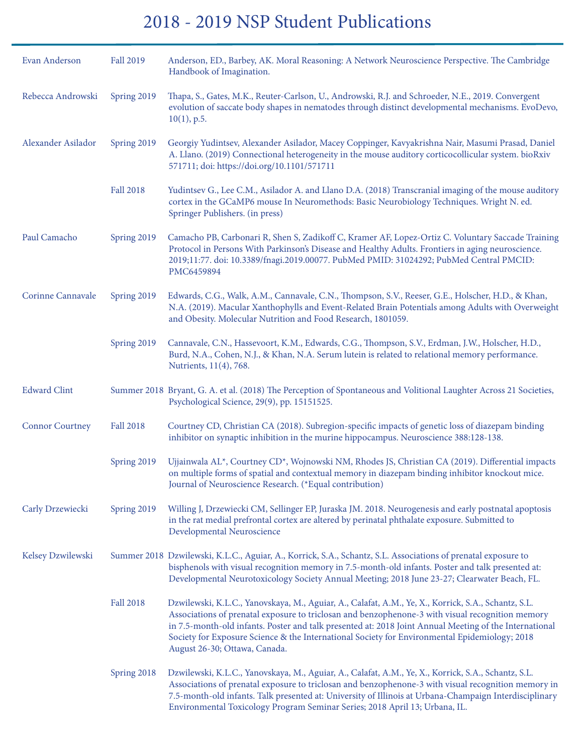## 2018 - 2019 NSP Student Publications

| Evan Anderson          | <b>Fall 2019</b> | Anderson, ED., Barbey, AK. Moral Reasoning: A Network Neuroscience Perspective. The Cambridge<br>Handbook of Imagination.                                                                                                                                                                                                                                                                                                                           |
|------------------------|------------------|-----------------------------------------------------------------------------------------------------------------------------------------------------------------------------------------------------------------------------------------------------------------------------------------------------------------------------------------------------------------------------------------------------------------------------------------------------|
| Rebecca Androwski      | Spring 2019      | Thapa, S., Gates, M.K., Reuter-Carlson, U., Androwski, R.J. and Schroeder, N.E., 2019. Convergent<br>evolution of saccate body shapes in nematodes through distinct developmental mechanisms. EvoDevo,<br>$10(1)$ , p.5.                                                                                                                                                                                                                            |
| Alexander Asilador     | Spring 2019      | Georgiy Yudintsev, Alexander Asilador, Macey Coppinger, Kavyakrishna Nair, Masumi Prasad, Daniel<br>A. Llano. (2019) Connectional heterogeneity in the mouse auditory corticocollicular system. bioRxiv<br>571711; doi: https://doi.org/10.1101/571711                                                                                                                                                                                              |
|                        | <b>Fall 2018</b> | Yudintsev G., Lee C.M., Asilador A. and Llano D.A. (2018) Transcranial imaging of the mouse auditory<br>cortex in the GCaMP6 mouse In Neuromethods: Basic Neurobiology Techniques. Wright N. ed.<br>Springer Publishers. (in press)                                                                                                                                                                                                                 |
| Paul Camacho           | Spring 2019      | Camacho PB, Carbonari R, Shen S, Zadikoff C, Kramer AF, Lopez-Ortiz C. Voluntary Saccade Training<br>Protocol in Persons With Parkinson's Disease and Healthy Adults. Frontiers in aging neuroscience.<br>2019;11:77. doi: 10.3389/fnagi.2019.00077. PubMed PMID: 31024292; PubMed Central PMCID:<br>PMC6459894                                                                                                                                     |
| Corinne Cannavale      | Spring 2019      | Edwards, C.G., Walk, A.M., Cannavale, C.N., Thompson, S.V., Reeser, G.E., Holscher, H.D., & Khan,<br>N.A. (2019). Macular Xanthophylls and Event-Related Brain Potentials among Adults with Overweight<br>and Obesity. Molecular Nutrition and Food Research, 1801059.                                                                                                                                                                              |
|                        | Spring 2019      | Cannavale, C.N., Hassevoort, K.M., Edwards, C.G., Thompson, S.V., Erdman, J.W., Holscher, H.D.,<br>Burd, N.A., Cohen, N.J., & Khan, N.A. Serum lutein is related to relational memory performance.<br>Nutrients, 11(4), 768.                                                                                                                                                                                                                        |
| <b>Edward Clint</b>    |                  | Summer 2018 Bryant, G. A. et al. (2018) The Perception of Spontaneous and Volitional Laughter Across 21 Societies,<br>Psychological Science, 29(9), pp. 15151525.                                                                                                                                                                                                                                                                                   |
| <b>Connor Courtney</b> | <b>Fall 2018</b> | Courtney CD, Christian CA (2018). Subregion-specific impacts of genetic loss of diazepam binding<br>inhibitor on synaptic inhibition in the murine hippocampus. Neuroscience 388:128-138.                                                                                                                                                                                                                                                           |
|                        | Spring 2019      | Ujjainwala AL*, Courtney CD*, Wojnowski NM, Rhodes JS, Christian CA (2019). Differential impacts<br>on multiple forms of spatial and contextual memory in diazepam binding inhibitor knockout mice.<br>Journal of Neuroscience Research. (*Equal contribution)                                                                                                                                                                                      |
| Carly Drzewiecki       | Spring 2019      | Willing J, Drzewiecki CM, Sellinger EP, Juraska JM. 2018. Neurogenesis and early postnatal apoptosis<br>in the rat medial prefrontal cortex are altered by perinatal phthalate exposure. Submitted to<br>Developmental Neuroscience                                                                                                                                                                                                                 |
| Kelsey Dzwilewski      |                  | Summer 2018 Dzwilewski, K.L.C., Aguiar, A., Korrick, S.A., Schantz, S.L. Associations of prenatal exposure to<br>bisphenols with visual recognition memory in 7.5-month-old infants. Poster and talk presented at:<br>Developmental Neurotoxicology Society Annual Meeting; 2018 June 23-27; Clearwater Beach, FL.                                                                                                                                  |
|                        | <b>Fall 2018</b> | Dzwilewski, K.L.C., Yanovskaya, M., Aguiar, A., Calafat, A.M., Ye, X., Korrick, S.A., Schantz, S.L.<br>Associations of prenatal exposure to triclosan and benzophenone-3 with visual recognition memory<br>in 7.5-month-old infants. Poster and talk presented at: 2018 Joint Annual Meeting of the International<br>Society for Exposure Science & the International Society for Environmental Epidemiology; 2018<br>August 26-30; Ottawa, Canada. |
|                        | Spring 2018      | Dzwilewski, K.L.C., Yanovskaya, M., Aguiar, A., Calafat, A.M., Ye, X., Korrick, S.A., Schantz, S.L.<br>Associations of prenatal exposure to triclosan and benzophenone-3 with visual recognition memory in<br>7.5-month-old infants. Talk presented at: University of Illinois at Urbana-Champaign Interdisciplinary<br>Environmental Toxicology Program Seminar Series; 2018 April 13; Urbana, IL.                                                 |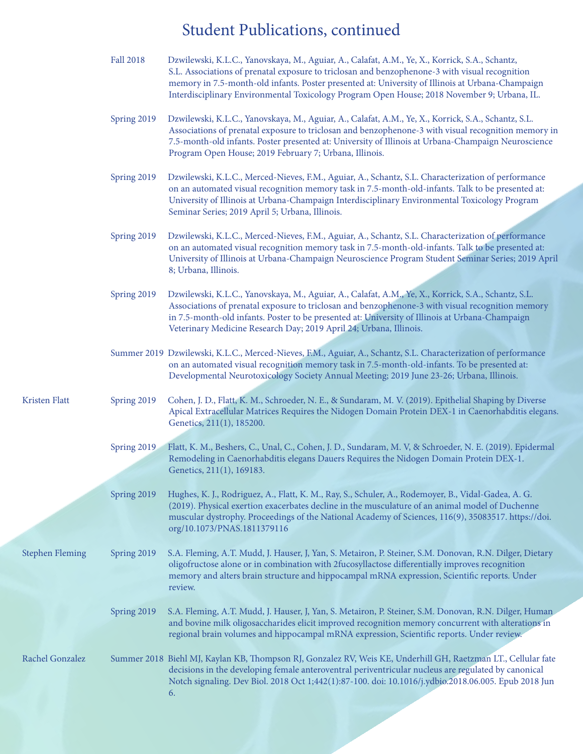## Student Publications, continued

|                        | <b>Fall 2018</b> | Dzwilewski, K.L.C., Yanovskaya, M., Aguiar, A., Calafat, A.M., Ye, X., Korrick, S.A., Schantz,<br>S.L. Associations of prenatal exposure to triclosan and benzophenone-3 with visual recognition<br>memory in 7.5-month-old infants. Poster presented at: University of Illinois at Urbana-Champaign<br>Interdisciplinary Environmental Toxicology Program Open House; 2018 November 9; Urbana, IL. |
|------------------------|------------------|-----------------------------------------------------------------------------------------------------------------------------------------------------------------------------------------------------------------------------------------------------------------------------------------------------------------------------------------------------------------------------------------------------|
|                        | Spring 2019      | Dzwilewski, K.L.C., Yanovskaya, M., Aguiar, A., Calafat, A.M., Ye, X., Korrick, S.A., Schantz, S.L.<br>Associations of prenatal exposure to triclosan and benzophenone-3 with visual recognition memory in<br>7.5-month-old infants. Poster presented at: University of Illinois at Urbana-Champaign Neuroscience<br>Program Open House; 2019 February 7; Urbana, Illinois.                         |
|                        | Spring 2019      | Dzwilewski, K.L.C., Merced-Nieves, F.M., Aguiar, A., Schantz, S.L. Characterization of performance<br>on an automated visual recognition memory task in 7.5-month-old-infants. Talk to be presented at:<br>University of Illinois at Urbana-Champaign Interdisciplinary Environmental Toxicology Program<br>Seminar Series; 2019 April 5; Urbana, Illinois.                                         |
|                        | Spring 2019      | Dzwilewski, K.L.C., Merced-Nieves, F.M., Aguiar, A., Schantz, S.L. Characterization of performance<br>on an automated visual recognition memory task in 7.5-month-old-infants. Talk to be presented at:<br>University of Illinois at Urbana-Champaign Neuroscience Program Student Seminar Series; 2019 April<br>8; Urbana, Illinois.                                                               |
|                        | Spring 2019      | Dzwilewski, K.L.C., Yanovskaya, M., Aguiar, A., Calafat, A.M., Ye, X., Korrick, S.A., Schantz, S.L.<br>Associations of prenatal exposure to triclosan and benzophenone-3 with visual recognition memory<br>in 7.5-month-old infants. Poster to be presented at: University of Illinois at Urbana-Champaign<br>Veterinary Medicine Research Day; 2019 April 24; Urbana, Illinois.                    |
|                        |                  | Summer 2019 Dzwilewski, K.L.C., Merced-Nieves, F.M., Aguiar, A., Schantz, S.L. Characterization of performance<br>on an automated visual recognition memory task in 7.5-month-old-infants. To be presented at:<br>Developmental Neurotoxicology Society Annual Meeting; 2019 June 23-26; Urbana, Illinois.                                                                                          |
| Kristen Flatt          | Spring 2019      | Cohen, J. D., Flatt, K. M., Schroeder, N. E., & Sundaram, M. V. (2019). Epithelial Shaping by Diverse<br>Apical Extracellular Matrices Requires the Nidogen Domain Protein DEX-1 in Caenorhabditis elegans.<br>Genetics, 211(1), 185200.                                                                                                                                                            |
|                        | Spring 2019      | Flatt, K. M., Beshers, C., Unal, C., Cohen, J. D., Sundaram, M. V, & Schroeder, N. E. (2019). Epidermal<br>Remodeling in Caenorhabditis elegans Dauers Requires the Nidogen Domain Protein DEX-1.<br>Genetics, 211(1), 169183.                                                                                                                                                                      |
|                        | Spring 2019      | Hughes, K. J., Rodriguez, A., Flatt, K. M., Ray, S., Schuler, A., Rodemoyer, B., Vidal-Gadea, A. G.<br>(2019). Physical exertion exacerbates decline in the musculature of an animal model of Duchenne<br>muscular dystrophy. Proceedings of the National Academy of Sciences, 116(9), 35083517. https://doi.<br>org/10.1073/PNAS.1811379116                                                        |
| <b>Stephen Fleming</b> | Spring 2019      | S.A. Fleming, A.T. Mudd, J. Hauser, J, Yan, S. Metairon, P. Steiner, S.M. Donovan, R.N. Dilger, Dietary<br>oligofructose alone or in combination with 2fucosyllactose differentially improves recognition<br>memory and alters brain structure and hippocampal mRNA expression, Scientific reports. Under<br>review.                                                                                |
|                        | Spring 2019      | S.A. Fleming, A.T. Mudd, J. Hauser, J, Yan, S. Metairon, P. Steiner, S.M. Donovan, R.N. Dilger, Human<br>and bovine milk oligosaccharides elicit improved recognition memory concurrent with alterations in<br>regional brain volumes and hippocampal mRNA expression, Scientific reports. Under review.                                                                                            |
| Rachel Gonzalez        |                  | Summer 2018 Biehl MJ, Kaylan KB, Thompson RJ, Gonzalez RV, Weis KE, Underhill GH, Raetzman LT., Cellular fate<br>decisions in the developing female anteroventral periventricular nucleus are regulated by canonical<br>Notch signaling. Dev Biol. 2018 Oct 1;442(1):87-100. doi: 10.1016/j.ydbio.2018.06.005. Epub 2018 Jun<br>6.                                                                  |
|                        |                  |                                                                                                                                                                                                                                                                                                                                                                                                     |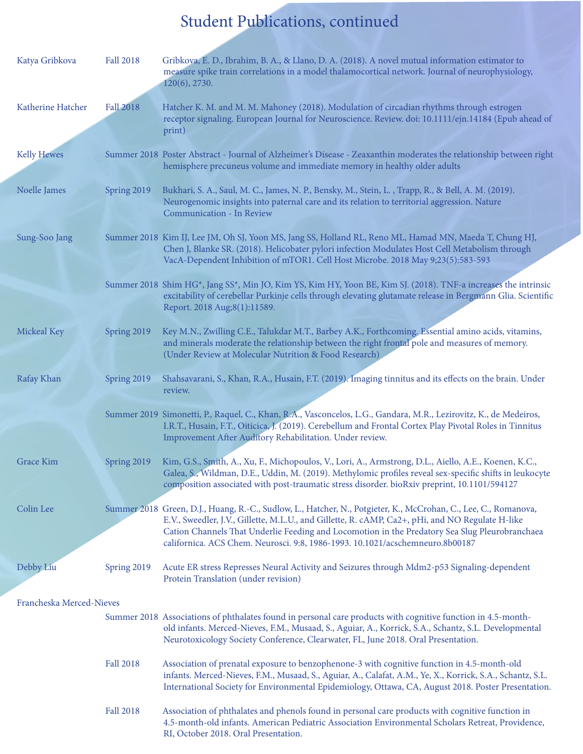## Student Publications, continued

| Katya Gribkova           | <b>Fall 2018</b> | Gribkova, E. D., Ibrahim, B. A., & Llano, D. A. (2018). A novel mutual information estimator to<br>measure spike train correlations in a model thalamocortical network. Journal of neurophysiology,<br>120(6), 2730.                                                                                                                                                                                   |  |  |
|--------------------------|------------------|--------------------------------------------------------------------------------------------------------------------------------------------------------------------------------------------------------------------------------------------------------------------------------------------------------------------------------------------------------------------------------------------------------|--|--|
| Katherine Hatcher        | <b>Fall 2018</b> | Hatcher K. M. and M. M. Mahoney (2018). Modulation of circadian rhythms through estrogen<br>receptor signaling. European Journal for Neuroscience. Review. doi: 10.1111/ejn.14184 (Epub ahead of<br>print)                                                                                                                                                                                             |  |  |
| <b>Kelly Hewes</b>       |                  | Summer 2018 Poster Abstract - Journal of Alzheimer's Disease - Zeaxanthin moderates the relationship between right<br>hemisphere precuneus volume and immediate memory in healthy older adults                                                                                                                                                                                                         |  |  |
| Noelle James             | Spring 2019      | Bukhari, S. A., Saul, M. C., James, N. P., Bensky, M., Stein, L., Trapp, R., & Bell, A. M. (2019).<br>Neurogenomic insights into paternal care and its relation to territorial aggression. Nature<br>Communication - In Review                                                                                                                                                                         |  |  |
| Sung-Soo Jang            |                  | Summer 2018 Kim IJ, Lee JM, Oh SJ, Yoon MS, Jang SS, Holland RL, Reno ML, Hamad MN, Maeda T, Chung HJ,<br>Chen J, Blanke SR. (2018). Helicobater pylori infection Modulates Host Cell Metabolism through<br>VacA-Dependent Inhibition of mTOR1. Cell Host Microbe. 2018 May 9;23(5):583-593                                                                                                            |  |  |
|                          |                  | Summer 2018 Shim HG*, Jang SS*, Min JO, Kim YS, Kim HY, Yoon BE, Kim SJ. (2018). TNF-a increases the intrinsic<br>excitability of cerebellar Purkinje cells through elevating glutamate release in Bergmann Glia. Scientific<br>Report. 2018 Aug;8(1):11589.                                                                                                                                           |  |  |
| Mickeal Key              | Spring 2019      | Key M.N., Zwilling C.E., Talukdar M.T., Barbey A.K., Forthcoming. Essential amino acids, vitamins,<br>and minerals moderate the relationship between the right frontal pole and measures of memory.<br>(Under Review at Molecular Nutrition & Food Research)                                                                                                                                           |  |  |
| Rafay Khan               | Spring 2019      | Shahsavarani, S., Khan, R.A., Husain, F.T. (2019). Imaging tinnitus and its effects on the brain. Under<br>review.                                                                                                                                                                                                                                                                                     |  |  |
|                          |                  | Summer 2019 Simonetti, P., Raquel, C., Khan, R.A., Vasconcelos, L.G., Gandara, M.R., Lezirovitz, K., de Medeiros,<br>I.R.T., Husain, F.T., Oiticica, J. (2019). Cerebellum and Frontal Cortex Play Pivotal Roles in Tinnitus<br>Improvement After Auditory Rehabilitation. Under review.                                                                                                               |  |  |
| <b>Grace Kim</b>         | Spring 2019      | Kim, G.S., Smith, A., Xu, F., Michopoulos, V., Lori, A., Armstrong, D.L., Aiello, A.E., Koenen, K.C.,<br>Galea, S., Wildman, D.E., Uddin, M. (2019). Methylomic profiles reveal sex-specific shifts in leukocyte<br>composition associated with post-traumatic stress disorder. bioRxiv preprint, 10.1101/594127                                                                                       |  |  |
| Colin Lee                |                  | Summer 2018 Green, D.J., Huang, R.-C., Sudlow, L., Hatcher, N., Potgieter, K., McCrohan, C., Lee, C., Romanova,<br>E.V., Sweedler, J.V., Gillette, M.L.U., and Gillette, R. cAMP, Ca2+, pHi, and NO Regulate H-like<br>Cation Channels That Underlie Feeding and Locomotion in the Predatory Sea Slug Pleurobranchaea<br>californica. ACS Chem. Neurosci. 9:8, 1986-1993. 10.1021/acschemneuro.8b00187 |  |  |
| Debby Liu                | Spring 2019      | Acute ER stress Represses Neural Activity and Seizures through Mdm2-p53 Signaling-dependent<br>Protein Translation (under revision)                                                                                                                                                                                                                                                                    |  |  |
| Francheska Merced-Nieves |                  |                                                                                                                                                                                                                                                                                                                                                                                                        |  |  |
|                          |                  | Summer 2018 Associations of phthalates found in personal care products with cognitive function in 4.5-month-<br>old infants. Merced-Nieves, F.M., Musaad, S., Aguiar, A., Korrick, S.A., Schantz, S.L. Developmental<br>Neurotoxicology Society Conference, Clearwater, FL, June 2018. Oral Presentation.                                                                                              |  |  |
|                          | <b>Fall 2018</b> | Association of prenatal exposure to benzophenone-3 with cognitive function in 4.5-month-old<br>infants. Merced-Nieves, F.M., Musaad, S., Aguiar, A., Calafat, A.M., Ye, X., Korrick, S.A., Schantz, S.L.<br>International Society for Environmental Epidemiology, Ottawa, CA, August 2018. Poster Presentation.                                                                                        |  |  |
|                          | <b>Fall 2018</b> | Association of phthalates and phenols found in personal care products with cognitive function in<br>4.5-month-old infants. American Pediatric Association Environmental Scholars Retreat, Providence,<br>RI, October 2018. Oral Presentation.                                                                                                                                                          |  |  |